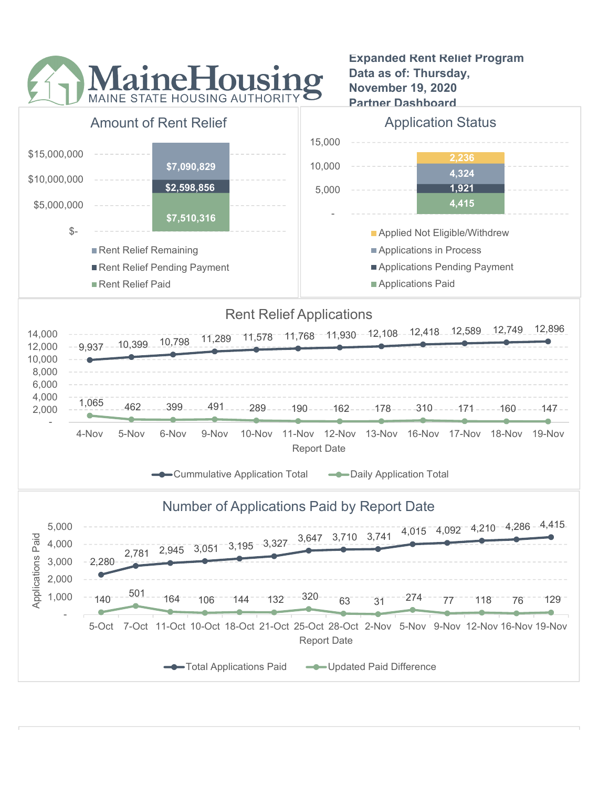

Expanded Rent Relief Program Data as of: Thursday, November 19, 2020